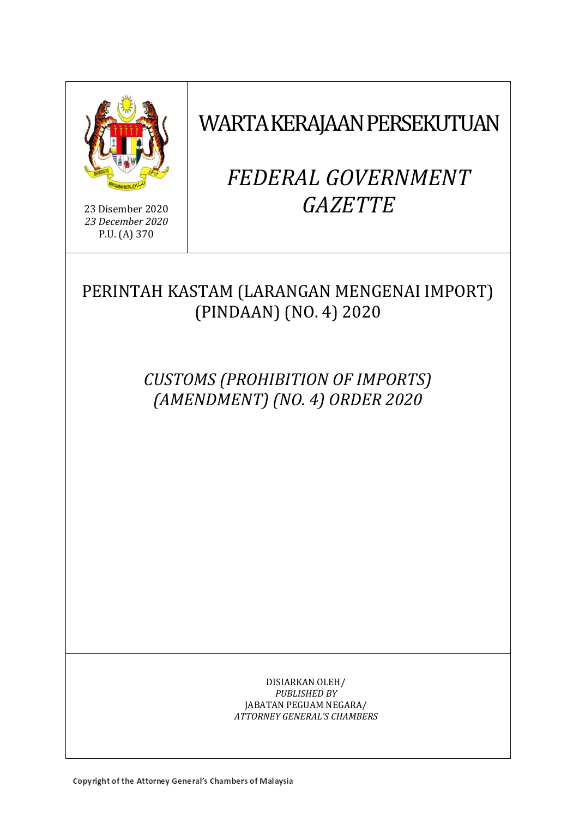

23 Disember 2020 *23 December 2020* P.U. (A) 370

## WARTA KERAJAAN PERSEKUTUAN

# *FEDERAL GOVERNMENT GAZETTE*

PERINTAH KASTAM (LARANGAN MENGENAI IMPORT) (PINDAAN) (NO. 4) 2020

> *CUSTOMS (PROHIBITION OF IMPORTS) (AMENDMENT) (NO. 4) ORDER 2020*

> > DISIARKAN OLEH/ *PUBLISHED BY* JABATAN PEGUAM NEGARA/ *ATTORNEY GENERAL'S CHAMBERS*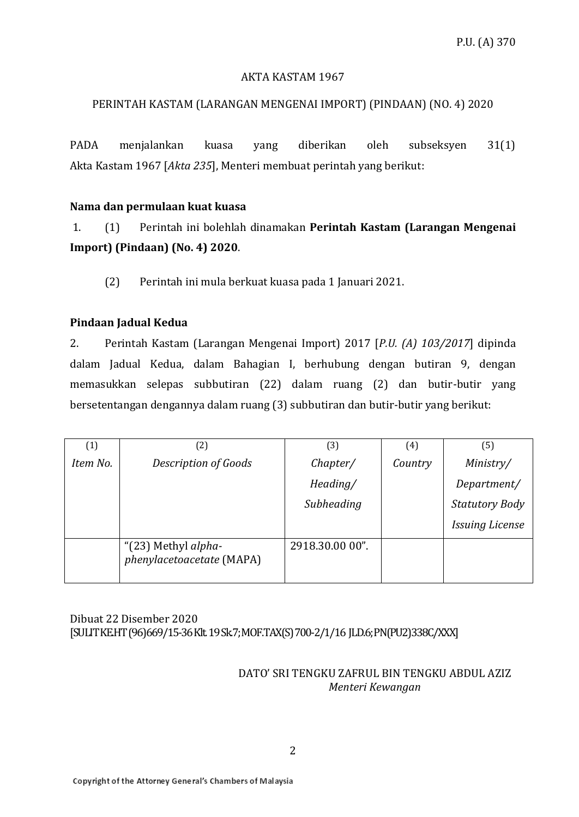#### AKTA KASTAM 1967

#### PERINTAH KASTAM (LARANGAN MENGENAI IMPORT) (PINDAAN) (NO. 4) 2020

PADA menjalankan kuasa yang diberikan oleh subseksyen 31(1) Akta Kastam 1967 [*Akta 235*], Menteri membuat perintah yang berikut:

#### **Nama dan permulaan kuat kuasa**

1. (1) Perintah ini bolehlah dinamakan **Perintah Kastam (Larangan Mengenai Import) (Pindaan) (No. 4) 2020**.

(2) Perintah ini mula berkuat kuasa pada 1 Januari 2021.

#### **Pindaan Jadual Kedua**

2. Perintah Kastam (Larangan Mengenai Import) 2017 [*P.U. (A) 103/2017*] dipinda dalam Jadual Kedua, dalam Bahagian I, berhubung dengan butiran 9, dengan memasukkan selepas subbutiran (22) dalam ruang (2) dan butir-butir yang bersetentangan dengannya dalam ruang (3) subbutiran dan butir-butir yang berikut:

| (1)      | $\left( 2\right)$                                | $\left(3\right)$ | (4)     | (5)                    |
|----------|--------------------------------------------------|------------------|---------|------------------------|
| Item No. | Description of Goods                             | Chapter/         | Country | Ministry/              |
|          |                                                  | Heading/         |         | Department/            |
|          |                                                  | Subheading       |         | <b>Statutory Body</b>  |
|          |                                                  |                  |         | <b>Issuing License</b> |
|          | "(23) Methyl alpha-<br>phenylacetoacetate (MAPA) | 2918.30.00 00".  |         |                        |

Dibuat 22 Disember 2020 [SULIT KE.HT(96)669/15-36Klt. 19 Sk.7;MOF.TAX(S) 700-2/1/16 JLD.6;PN(PU2)338C/XXX]

#### DATO' SRI TENGKU ZAFRUL BIN TENGKU ABDUL AZIZ *Menteri Kewangan*